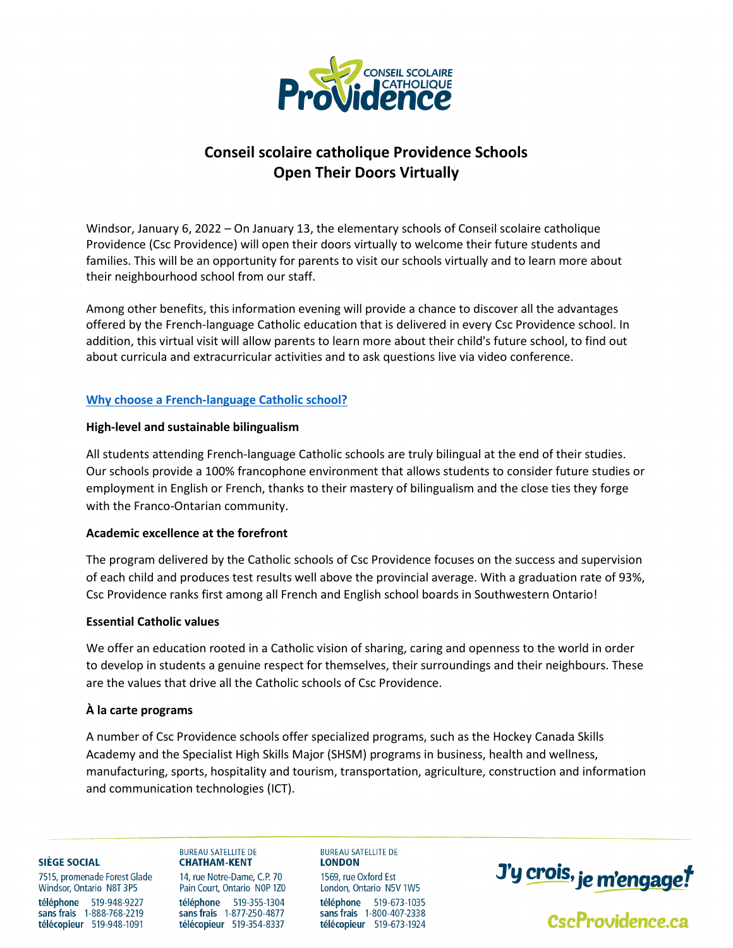

# **Conseil scolaire catholique Providence Schools Open Their Doors Virtually**

Windsor, January 6, 2022 – On January 13, the elementary schools of Conseil scolaire catholique Providence (Csc Providence) will open their doors virtually to welcome their future students and families. This will be an opportunity for parents to visit our schools virtually and to learn more about their neighbourhood school from our staff.

Among other benefits, this information evening will provide a chance to discover all the advantages offered by the French-language Catholic education that is delivered in every Csc Providence school. In addition, this virtual visit will allow parents to learn more about their child's future school, to find out about curricula and extracurricular activities and to ask questions live via video conference.

# **[Why choose a French-language Catholic school?](https://www.cscprovidence.ca/apps/pages/index.jsp?uREC_ID=1117973&type=d&pREC_ID=1380574)**

# **High-level and sustainable bilingualism**

All students attending French-language Catholic schools are truly bilingual at the end of their studies. Our schools provide a 100% francophone environment that allows students to consider future studies or employment in English or French, thanks to their mastery of bilingualism and the close ties they forge with the Franco-Ontarian community.

# **Academic excellence at the forefront**

The program delivered by the Catholic schools of Csc Providence focuses on the success and supervision of each child and produces test results well above the provincial average. With a graduation rate of 93%, Csc Providence ranks first among all French and English school boards in Southwestern Ontario!

### **Essential Catholic values**

We offer an education rooted in a Catholic vision of sharing, caring and openness to the world in order to develop in students a genuine respect for themselves, their surroundings and their neighbours. These are the values that drive all the Catholic schools of Csc Providence.

# **À la carte programs**

A number of Csc Providence schools offer specialized programs, such as the Hockey Canada Skills Academy and the Specialist High Skills Major (SHSM) programs in business, health and wellness, manufacturing, sports, hospitality and tourism, transportation, agriculture, construction and information and communication technologies (ICT).

#### SIÈGE SOCIAL

7515, promenade Forest Glade Windsor, Ontario N8T 3P5 téléphone 519-948-9227 sans frais 1-888-768-2219 télécopieur 519-948-1091

#### **BURFAU SATELLITE DE CHATHAM-KENT**

14, rue Notre-Dame, C.P. 70 Pain Court, Ontario N0P 1Z0 téléphone 519-355-1304 sans frais 1-877-250-4877 télécopieur 519-354-8337

**LONDON** 1569, rue Oxford Est London, Ontario N5V 1W5 téléphone 519-673-1035 sans frais 1-800-407-2338 télécopieur 519-673-1924

**BUREAU SATELLITE DE** 



CscProvidence.ca